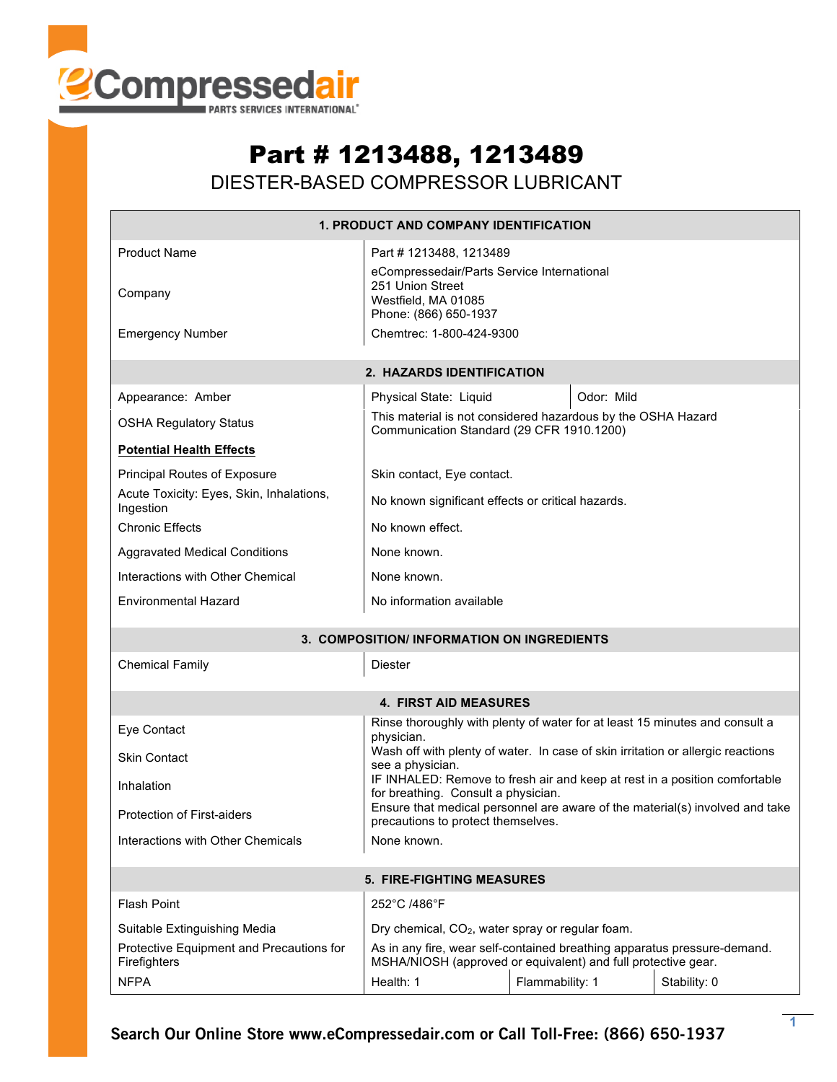

## Part # 1213488, 1213489

DIESTER-BASED COMPRESSOR LUBRICANT

| <b>1. PRODUCT AND COMPANY IDENTIFICATION</b>             |                                                                                                                                           |                 |              |  |  |  |  |
|----------------------------------------------------------|-------------------------------------------------------------------------------------------------------------------------------------------|-----------------|--------------|--|--|--|--|
| <b>Product Name</b><br>Company                           | Part # 1213488, 1213489<br>eCompressedair/Parts Service International<br>251 Union Street<br>Westfield, MA 01085<br>Phone: (866) 650-1937 |                 |              |  |  |  |  |
| <b>Emergency Number</b>                                  | Chemtrec: 1-800-424-9300                                                                                                                  |                 |              |  |  |  |  |
| 2. HAZARDS IDENTIFICATION                                |                                                                                                                                           |                 |              |  |  |  |  |
| Appearance: Amber                                        | Physical State: Liquid                                                                                                                    | Odor: Mild      |              |  |  |  |  |
| <b>OSHA Regulatory Status</b>                            | This material is not considered hazardous by the OSHA Hazard<br>Communication Standard (29 CFR 1910.1200)                                 |                 |              |  |  |  |  |
| <b>Potential Health Effects</b>                          |                                                                                                                                           |                 |              |  |  |  |  |
| Principal Routes of Exposure                             | Skin contact, Eye contact.                                                                                                                |                 |              |  |  |  |  |
| Acute Toxicity: Eyes, Skin, Inhalations,<br>Ingestion    | No known significant effects or critical hazards.                                                                                         |                 |              |  |  |  |  |
| <b>Chronic Effects</b>                                   | No known effect.                                                                                                                          |                 |              |  |  |  |  |
| <b>Aggravated Medical Conditions</b>                     | None known.                                                                                                                               |                 |              |  |  |  |  |
| Interactions with Other Chemical                         | None known.                                                                                                                               |                 |              |  |  |  |  |
| <b>Environmental Hazard</b>                              | No information available                                                                                                                  |                 |              |  |  |  |  |
| 3. COMPOSITION/ INFORMATION ON INGREDIENTS               |                                                                                                                                           |                 |              |  |  |  |  |
| <b>Chemical Family</b><br>Diester                        |                                                                                                                                           |                 |              |  |  |  |  |
| <b>4. FIRST AID MEASURES</b>                             |                                                                                                                                           |                 |              |  |  |  |  |
| Eye Contact                                              | Rinse thoroughly with plenty of water for at least 15 minutes and consult a<br>physician.                                                 |                 |              |  |  |  |  |
| <b>Skin Contact</b>                                      | Wash off with plenty of water. In case of skin irritation or allergic reactions<br>see a physician.                                       |                 |              |  |  |  |  |
| Inhalation                                               | IF INHALED: Remove to fresh air and keep at rest in a position comfortable<br>for breathing. Consult a physician.                         |                 |              |  |  |  |  |
| Protection of First-aiders                               | Ensure that medical personnel are aware of the material(s) involved and take<br>precautions to protect themselves.                        |                 |              |  |  |  |  |
| Interactions with Other Chemicals                        | None known.                                                                                                                               |                 |              |  |  |  |  |
| 5. FIRE-FIGHTING MEASURES                                |                                                                                                                                           |                 |              |  |  |  |  |
| <b>Flash Point</b>                                       | 252°C /486°F                                                                                                                              |                 |              |  |  |  |  |
| Suitable Extinguishing Media                             | Dry chemical, CO <sub>2</sub> , water spray or regular foam.                                                                              |                 |              |  |  |  |  |
| Protective Equipment and Precautions for<br>Firefighters | As in any fire, wear self-contained breathing apparatus pressure-demand.<br>MSHA/NIOSH (approved or equivalent) and full protective gear. |                 |              |  |  |  |  |
| <b>NFPA</b>                                              | Health: 1                                                                                                                                 | Flammability: 1 | Stability: 0 |  |  |  |  |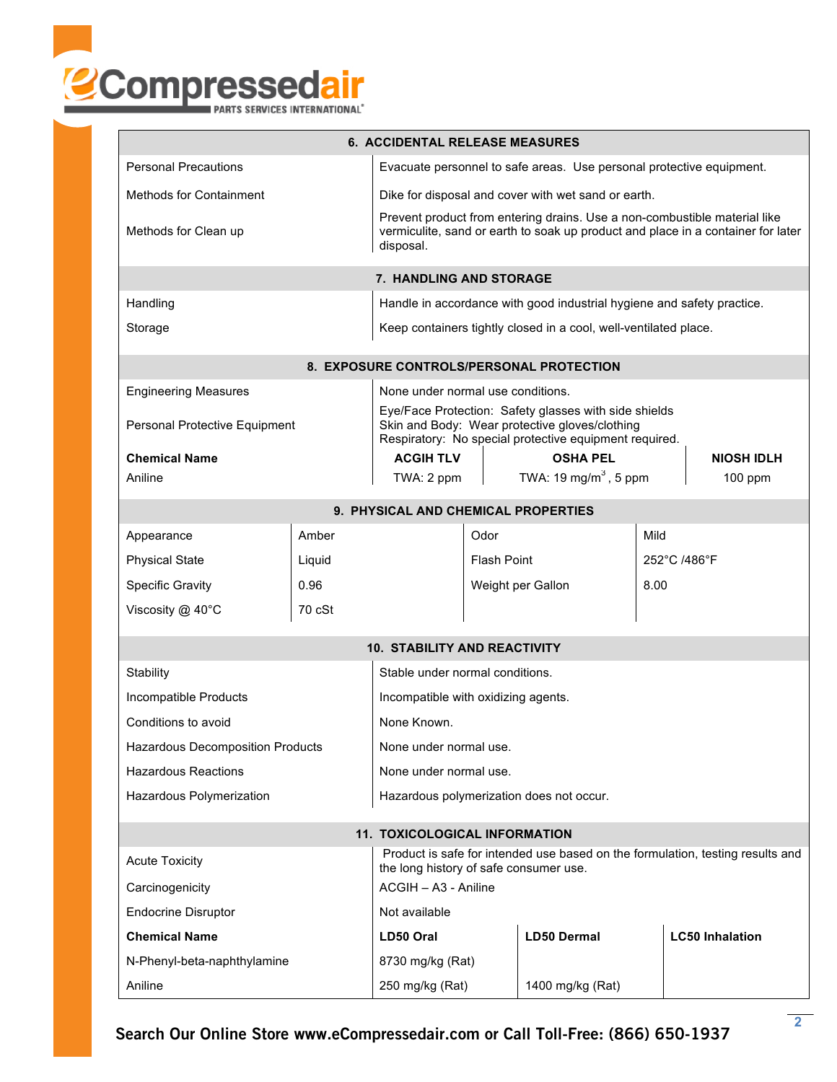

| <b>6. ACCIDENTAL RELEASE MEASURES</b>                                                                                                             |                                                                                                                                                                            |                                                                        |                                                     |                                   |                        |                   |  |  |
|---------------------------------------------------------------------------------------------------------------------------------------------------|----------------------------------------------------------------------------------------------------------------------------------------------------------------------------|------------------------------------------------------------------------|-----------------------------------------------------|-----------------------------------|------------------------|-------------------|--|--|
| <b>Personal Precautions</b>                                                                                                                       | Evacuate personnel to safe areas. Use personal protective equipment.                                                                                                       |                                                                        |                                                     |                                   |                        |                   |  |  |
| <b>Methods for Containment</b>                                                                                                                    |                                                                                                                                                                            |                                                                        | Dike for disposal and cover with wet sand or earth. |                                   |                        |                   |  |  |
| Methods for Clean up                                                                                                                              | Prevent product from entering drains. Use a non-combustible material like<br>vermiculite, sand or earth to soak up product and place in a container for later<br>disposal. |                                                                        |                                                     |                                   |                        |                   |  |  |
| 7. HANDLING AND STORAGE                                                                                                                           |                                                                                                                                                                            |                                                                        |                                                     |                                   |                        |                   |  |  |
| Handling                                                                                                                                          |                                                                                                                                                                            | Handle in accordance with good industrial hygiene and safety practice. |                                                     |                                   |                        |                   |  |  |
| Storage                                                                                                                                           | Keep containers tightly closed in a cool, well-ventilated place.                                                                                                           |                                                                        |                                                     |                                   |                        |                   |  |  |
| <b>8. EXPOSURE CONTROLS/PERSONAL PROTECTION</b>                                                                                                   |                                                                                                                                                                            |                                                                        |                                                     |                                   |                        |                   |  |  |
| <b>Engineering Measures</b>                                                                                                                       |                                                                                                                                                                            |                                                                        | None under normal use conditions.                   |                                   |                        |                   |  |  |
| Personal Protective Equipment                                                                                                                     | Eye/Face Protection: Safety glasses with side shields<br>Skin and Body: Wear protective gloves/clothing<br>Respiratory: No special protective equipment required.          |                                                                        |                                                     |                                   |                        |                   |  |  |
| <b>Chemical Name</b>                                                                                                                              |                                                                                                                                                                            | <b>ACGIH TLV</b>                                                       | <b>OSHA PEL</b>                                     |                                   |                        | <b>NIOSH IDLH</b> |  |  |
| Aniline                                                                                                                                           |                                                                                                                                                                            | TWA: 2 ppm                                                             |                                                     | TWA: 19 mg/m <sup>3</sup> , 5 ppm |                        | $100$ ppm         |  |  |
| 9. PHYSICAL AND CHEMICAL PROPERTIES                                                                                                               |                                                                                                                                                                            |                                                                        |                                                     |                                   |                        |                   |  |  |
| Appearance                                                                                                                                        | Amber                                                                                                                                                                      |                                                                        | Odor                                                |                                   | Mild                   |                   |  |  |
| <b>Physical State</b>                                                                                                                             | Liquid                                                                                                                                                                     |                                                                        | <b>Flash Point</b>                                  |                                   | 252°C /486°F           |                   |  |  |
| <b>Specific Gravity</b>                                                                                                                           | 0.96                                                                                                                                                                       |                                                                        | Weight per Gallon                                   |                                   | 8.00                   |                   |  |  |
| Viscosity @ 40°C                                                                                                                                  | 70 cSt                                                                                                                                                                     |                                                                        |                                                     |                                   |                        |                   |  |  |
| <b>10. STABILITY AND REACTIVITY</b>                                                                                                               |                                                                                                                                                                            |                                                                        |                                                     |                                   |                        |                   |  |  |
| Stability                                                                                                                                         | Stable under normal conditions.                                                                                                                                            |                                                                        |                                                     |                                   |                        |                   |  |  |
| Incompatible Products                                                                                                                             | Incompatible with oxidizing agents.                                                                                                                                        |                                                                        |                                                     |                                   |                        |                   |  |  |
| Conditions to avoid                                                                                                                               | None Known.                                                                                                                                                                |                                                                        |                                                     |                                   |                        |                   |  |  |
| <b>Hazardous Decomposition Products</b>                                                                                                           |                                                                                                                                                                            |                                                                        | None under normal use.                              |                                   |                        |                   |  |  |
| <b>Hazardous Reactions</b>                                                                                                                        | None under normal use.                                                                                                                                                     |                                                                        |                                                     |                                   |                        |                   |  |  |
| Hazardous Polymerization                                                                                                                          |                                                                                                                                                                            | Hazardous polymerization does not occur.                               |                                                     |                                   |                        |                   |  |  |
| <b>11. TOXICOLOGICAL INFORMATION</b>                                                                                                              |                                                                                                                                                                            |                                                                        |                                                     |                                   |                        |                   |  |  |
| Product is safe for intended use based on the formulation, testing results and<br><b>Acute Toxicity</b><br>the long history of safe consumer use. |                                                                                                                                                                            |                                                                        |                                                     |                                   |                        |                   |  |  |
| Carcinogenicity                                                                                                                                   |                                                                                                                                                                            | ACGIH - A3 - Aniline                                                   |                                                     |                                   |                        |                   |  |  |
| <b>Endocrine Disruptor</b>                                                                                                                        | Not available                                                                                                                                                              |                                                                        |                                                     |                                   |                        |                   |  |  |
| <b>Chemical Name</b>                                                                                                                              | LD50 Oral                                                                                                                                                                  |                                                                        | <b>LD50 Dermal</b>                                  |                                   | <b>LC50 Inhalation</b> |                   |  |  |
| N-Phenyl-beta-naphthylamine                                                                                                                       | 8730 mg/kg (Rat)                                                                                                                                                           |                                                                        |                                                     |                                   |                        |                   |  |  |
| Aniline                                                                                                                                           | 250 mg/kg (Rat)                                                                                                                                                            |                                                                        | 1400 mg/kg (Rat)                                    |                                   |                        |                   |  |  |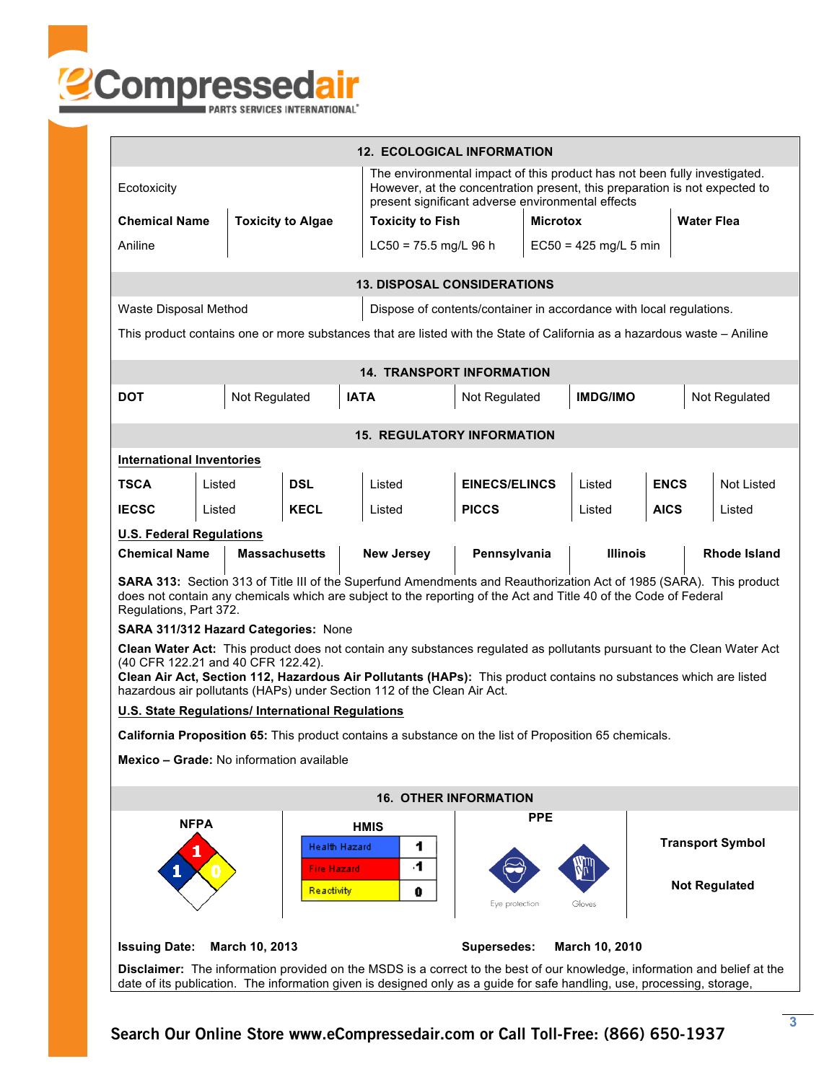

| <b>12. ECOLOGICAL INFORMATION</b>                                                                                                                                                                                                                                                                                                                           |                                              |             |                         |                                                                                                                                                                                                              |                      |                         |                 |                         |               |                     |
|-------------------------------------------------------------------------------------------------------------------------------------------------------------------------------------------------------------------------------------------------------------------------------------------------------------------------------------------------------------|----------------------------------------------|-------------|-------------------------|--------------------------------------------------------------------------------------------------------------------------------------------------------------------------------------------------------------|----------------------|-------------------------|-----------------|-------------------------|---------------|---------------------|
| Ecotoxicity                                                                                                                                                                                                                                                                                                                                                 |                                              |             |                         | The environmental impact of this product has not been fully investigated.<br>However, at the concentration present, this preparation is not expected to<br>present significant adverse environmental effects |                      |                         |                 |                         |               |                     |
| <b>Chemical Name</b><br><b>Toxicity to Algae</b>                                                                                                                                                                                                                                                                                                            |                                              |             | <b>Toxicity to Fish</b> |                                                                                                                                                                                                              | <b>Microtox</b>      |                         |                 | <b>Water Flea</b>       |               |                     |
| Aniline                                                                                                                                                                                                                                                                                                                                                     |                                              |             |                         | $LC50 = 75.5$ mg/L 96 h                                                                                                                                                                                      |                      | $EC50 = 425$ mg/L 5 min |                 |                         |               |                     |
| <b>13. DISPOSAL CONSIDERATIONS</b>                                                                                                                                                                                                                                                                                                                          |                                              |             |                         |                                                                                                                                                                                                              |                      |                         |                 |                         |               |                     |
| Waste Disposal Method<br>Dispose of contents/container in accordance with local regulations.                                                                                                                                                                                                                                                                |                                              |             |                         |                                                                                                                                                                                                              |                      |                         |                 |                         |               |                     |
| This product contains one or more substances that are listed with the State of California as a hazardous waste - Aniline                                                                                                                                                                                                                                    |                                              |             |                         |                                                                                                                                                                                                              |                      |                         |                 |                         |               |                     |
|                                                                                                                                                                                                                                                                                                                                                             |                                              |             |                         | <b>14. TRANSPORT INFORMATION</b>                                                                                                                                                                             |                      |                         |                 |                         |               |                     |
| <b>DOT</b>                                                                                                                                                                                                                                                                                                                                                  | Not Regulated                                |             | <b>IATA</b>             |                                                                                                                                                                                                              | Not Regulated        |                         | <b>IMDG/IMO</b> |                         | Not Regulated |                     |
| <b>15. REGULATORY INFORMATION</b>                                                                                                                                                                                                                                                                                                                           |                                              |             |                         |                                                                                                                                                                                                              |                      |                         |                 |                         |               |                     |
| <b>International Inventories</b>                                                                                                                                                                                                                                                                                                                            |                                              |             |                         |                                                                                                                                                                                                              |                      |                         |                 |                         |               |                     |
| <b>TSCA</b>                                                                                                                                                                                                                                                                                                                                                 | Listed                                       | <b>DSL</b>  |                         | Listed                                                                                                                                                                                                       | <b>EINECS/ELINCS</b> |                         | Listed          |                         | <b>ENCS</b>   | <b>Not Listed</b>   |
| <b>IECSC</b>                                                                                                                                                                                                                                                                                                                                                | Listed                                       | <b>KECL</b> |                         | Listed                                                                                                                                                                                                       | <b>PICCS</b>         |                         | Listed          | <b>AICS</b>             |               | Listed              |
| <b>U.S. Federal Regulations</b>                                                                                                                                                                                                                                                                                                                             |                                              |             |                         |                                                                                                                                                                                                              |                      |                         |                 |                         |               |                     |
|                                                                                                                                                                                                                                                                                                                                                             | <b>Chemical Name</b><br><b>Massachusetts</b> |             |                         | <b>New Jersey</b>                                                                                                                                                                                            | Pennsylvania         |                         | <b>Illinois</b> |                         |               | <b>Rhode Island</b> |
| SARA 313: Section 313 of Title III of the Superfund Amendments and Reauthorization Act of 1985 (SARA). This product<br>does not contain any chemicals which are subject to the reporting of the Act and Title 40 of the Code of Federal<br>Regulations, Part 372.                                                                                           |                                              |             |                         |                                                                                                                                                                                                              |                      |                         |                 |                         |               |                     |
|                                                                                                                                                                                                                                                                                                                                                             | SARA 311/312 Hazard Categories: None         |             |                         |                                                                                                                                                                                                              |                      |                         |                 |                         |               |                     |
| Clean Water Act: This product does not contain any substances regulated as pollutants pursuant to the Clean Water Act<br>(40 CFR 122.21 and 40 CFR 122.42).<br>Clean Air Act, Section 112, Hazardous Air Pollutants (HAPs): This product contains no substances which are listed<br>hazardous air pollutants (HAPs) under Section 112 of the Clean Air Act. |                                              |             |                         |                                                                                                                                                                                                              |                      |                         |                 |                         |               |                     |
| <b>U.S. State Regulations/ International Regulations</b>                                                                                                                                                                                                                                                                                                    |                                              |             |                         |                                                                                                                                                                                                              |                      |                         |                 |                         |               |                     |
| California Proposition 65: This product contains a substance on the list of Proposition 65 chemicals.                                                                                                                                                                                                                                                       |                                              |             |                         |                                                                                                                                                                                                              |                      |                         |                 |                         |               |                     |
| Mexico - Grade: No information available                                                                                                                                                                                                                                                                                                                    |                                              |             |                         |                                                                                                                                                                                                              |                      |                         |                 |                         |               |                     |
| <b>16. OTHER INFORMATION</b>                                                                                                                                                                                                                                                                                                                                |                                              |             |                         |                                                                                                                                                                                                              |                      |                         |                 |                         |               |                     |
|                                                                                                                                                                                                                                                                                                                                                             | <b>NFPA</b>                                  |             | <b>HMIS</b>             |                                                                                                                                                                                                              |                      | <b>PPE</b>              |                 |                         |               |                     |
| Health Hazard                                                                                                                                                                                                                                                                                                                                               |                                              |             |                         | 1                                                                                                                                                                                                            |                      |                         |                 | <b>Transport Symbol</b> |               |                     |
| 4.<br><b>Fire Hazard</b><br><b>Not Regulated</b><br>Reactivity<br>0<br>Eye protection<br>Gloves                                                                                                                                                                                                                                                             |                                              |             |                         |                                                                                                                                                                                                              |                      |                         |                 |                         |               |                     |
| Supersedes:<br><b>Issuing Date:</b><br>March 10, 2013<br>March 10, 2010                                                                                                                                                                                                                                                                                     |                                              |             |                         |                                                                                                                                                                                                              |                      |                         |                 |                         |               |                     |
| <b>Disclaimer:</b> The information provided on the MSDS is a correct to the best of our knowledge, information and belief at the<br>date of its publication. The information given is designed only as a guide for safe handling, use, processing, storage,                                                                                                 |                                              |             |                         |                                                                                                                                                                                                              |                      |                         |                 |                         |               |                     |